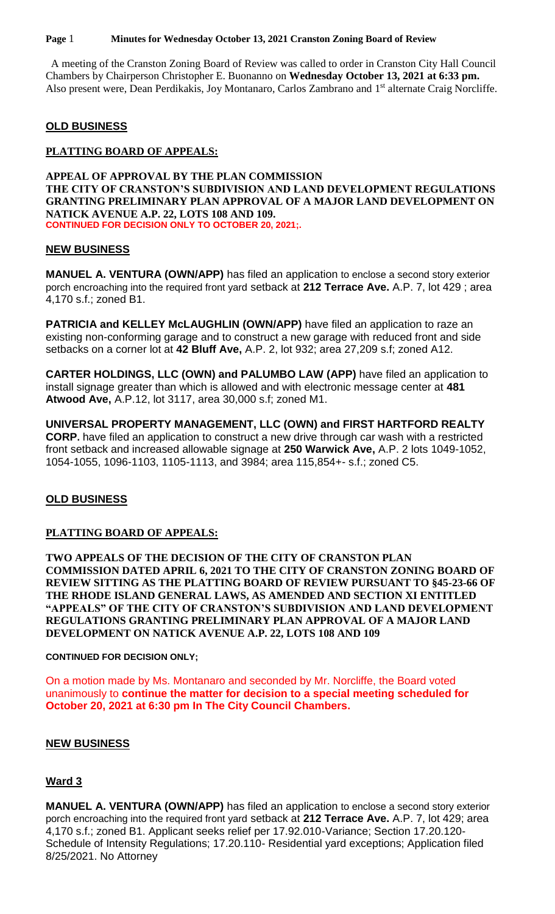**Page** 1 **Minutes for Wednesday October 13, 2021 Cranston Zoning Board of Review**

 A meeting of the Cranston Zoning Board of Review was called to order in Cranston City Hall Council Chambers by Chairperson Christopher E. Buonanno on **Wednesday October 13, 2021 at 6:33 pm.** Also present were, Dean Perdikakis, Joy Montanaro, Carlos Zambrano and 1<sup>st</sup> alternate Craig Norcliffe.

# **OLD BUSINESS**

#### **PLATTING BOARD OF APPEALS:**

**APPEAL OF APPROVAL BY THE PLAN COMMISSION THE CITY OF CRANSTON'S SUBDIVISION AND LAND DEVELOPMENT REGULATIONS GRANTING PRELIMINARY PLAN APPROVAL OF A MAJOR LAND DEVELOPMENT ON NATICK AVENUE A.P. 22, LOTS 108 AND 109. CONTINUED FOR DECISION ONLY TO OCTOBER 20, 2021;.**

#### **NEW BUSINESS**

**MANUEL A. VENTURA (OWN/APP)** has filed an application to enclose a second story exterior porch encroaching into the required front yard setback at **212 Terrace Ave.** A.P. 7, lot 429 ; area 4,170 s.f.; zoned B1.

**PATRICIA and KELLEY McLAUGHLIN (OWN/APP)** have filed an application to raze an existing non-conforming garage and to construct a new garage with reduced front and side setbacks on a corner lot at **42 Bluff Ave,** A.P. 2, lot 932; area 27,209 s.f; zoned A12.

**CARTER HOLDINGS, LLC (OWN) and PALUMBO LAW (APP)** have filed an application to install signage greater than which is allowed and with electronic message center at **481 Atwood Ave,** A.P.12, lot 3117, area 30,000 s.f; zoned M1.

**UNIVERSAL PROPERTY MANAGEMENT, LLC (OWN) and FIRST HARTFORD REALTY CORP.** have filed an application to construct a new drive through car wash with a restricted front setback and increased allowable signage at **250 Warwick Ave,** A.P. 2 lots 1049-1052, 1054-1055, 1096-1103, 1105-1113, and 3984; area 115,854+- s.f.; zoned C5.

# **OLD BUSINESS**

# **PLATTING BOARD OF APPEALS:**

**TWO APPEALS OF THE DECISION OF THE CITY OF CRANSTON PLAN COMMISSION DATED APRIL 6, 2021 TO THE CITY OF CRANSTON ZONING BOARD OF REVIEW SITTING AS THE PLATTING BOARD OF REVIEW PURSUANT TO §45-23-66 OF THE RHODE ISLAND GENERAL LAWS, AS AMENDED AND SECTION XI ENTITLED "APPEALS" OF THE CITY OF CRANSTON'S SUBDIVISION AND LAND DEVELOPMENT REGULATIONS GRANTING PRELIMINARY PLAN APPROVAL OF A MAJOR LAND DEVELOPMENT ON NATICK AVENUE A.P. 22, LOTS 108 AND 109**

#### **CONTINUED FOR DECISION ONLY;**

On a motion made by Ms. Montanaro and seconded by Mr. Norcliffe, the Board voted unanimously to **continue the matter for decision to a special meeting scheduled for October 20, 2021 at 6:30 pm In The City Council Chambers.**

# **NEW BUSINESS**

# **Ward 3**

**MANUEL A. VENTURA (OWN/APP)** has filed an application to enclose a second story exterior porch encroaching into the required front yard setback at **212 Terrace Ave.** A.P. 7, lot 429; area 4,170 s.f.; zoned B1. Applicant seeks relief per 17.92.010-Variance; Section 17.20.120- Schedule of Intensity Regulations; 17.20.110- Residential yard exceptions; Application filed 8/25/2021. No Attorney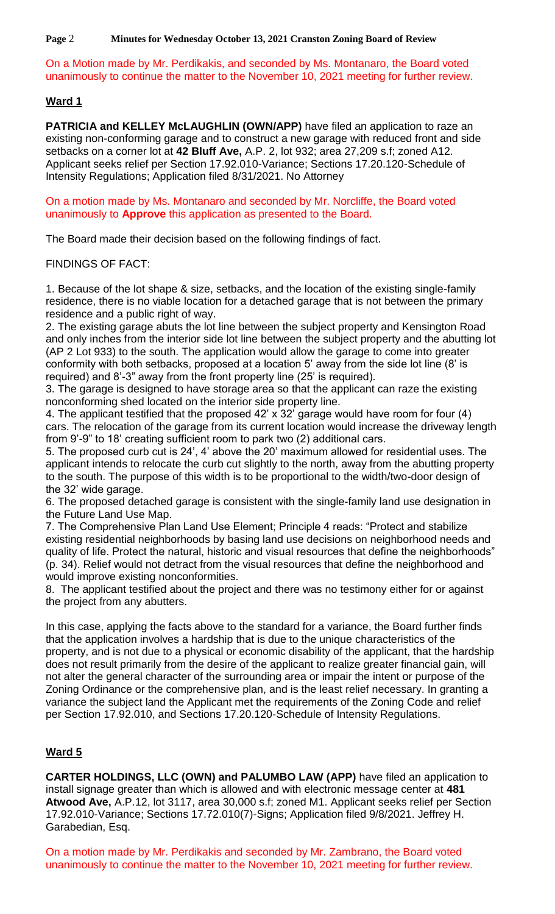**Page** 2 **Minutes for Wednesday October 13, 2021 Cranston Zoning Board of Review**

On a Motion made by Mr. Perdikakis, and seconded by Ms. Montanaro, the Board voted unanimously to continue the matter to the November 10, 2021 meeting for further review.

# **Ward 1**

**PATRICIA and KELLEY McLAUGHLIN (OWN/APP)** have filed an application to raze an existing non-conforming garage and to construct a new garage with reduced front and side setbacks on a corner lot at **42 Bluff Ave,** A.P. 2, lot 932; area 27,209 s.f; zoned A12. Applicant seeks relief per Section 17.92.010-Variance; Sections 17.20.120-Schedule of Intensity Regulations; Application filed 8/31/2021. No Attorney

On a motion made by Ms. Montanaro and seconded by Mr. Norcliffe, the Board voted unanimously to **Approve** this application as presented to the Board.

The Board made their decision based on the following findings of fact.

FINDINGS OF FACT:

1. Because of the lot shape & size, setbacks, and the location of the existing single-family residence, there is no viable location for a detached garage that is not between the primary residence and a public right of way.

2. The existing garage abuts the lot line between the subject property and Kensington Road and only inches from the interior side lot line between the subject property and the abutting lot (AP 2 Lot 933) to the south. The application would allow the garage to come into greater conformity with both setbacks, proposed at a location 5' away from the side lot line (8' is required) and 8'-3" away from the front property line (25' is required).

3. The garage is designed to have storage area so that the applicant can raze the existing nonconforming shed located on the interior side property line.

4. The applicant testified that the proposed 42' x 32' garage would have room for four (4) cars. The relocation of the garage from its current location would increase the driveway length from 9'-9" to 18' creating sufficient room to park two (2) additional cars.

5. The proposed curb cut is 24', 4' above the 20' maximum allowed for residential uses. The applicant intends to relocate the curb cut slightly to the north, away from the abutting property to the south. The purpose of this width is to be proportional to the width/two-door design of the 32' wide garage.

6. The proposed detached garage is consistent with the single-family land use designation in the Future Land Use Map.

7. The Comprehensive Plan Land Use Element; Principle 4 reads: "Protect and stabilize existing residential neighborhoods by basing land use decisions on neighborhood needs and quality of life. Protect the natural, historic and visual resources that define the neighborhoods" (p. 34). Relief would not detract from the visual resources that define the neighborhood and would improve existing nonconformities.

8. The applicant testified about the project and there was no testimony either for or against the project from any abutters.

In this case, applying the facts above to the standard for a variance, the Board further finds that the application involves a hardship that is due to the unique characteristics of the property, and is not due to a physical or economic disability of the applicant, that the hardship does not result primarily from the desire of the applicant to realize greater financial gain, will not alter the general character of the surrounding area or impair the intent or purpose of the Zoning Ordinance or the comprehensive plan, and is the least relief necessary. In granting a variance the subject land the Applicant met the requirements of the Zoning Code and relief per Section 17.92.010, and Sections 17.20.120-Schedule of Intensity Regulations.

# **Ward 5**

**CARTER HOLDINGS, LLC (OWN) and PALUMBO LAW (APP)** have filed an application to install signage greater than which is allowed and with electronic message center at **481 Atwood Ave,** A.P.12, lot 3117, area 30,000 s.f; zoned M1. Applicant seeks relief per Section 17.92.010-Variance; Sections 17.72.010(7)-Signs; Application filed 9/8/2021. Jeffrey H. Garabedian, Esq.

On a motion made by Mr. Perdikakis and seconded by Mr. Zambrano, the Board voted unanimously to continue the matter to the November 10, 2021 meeting for further review.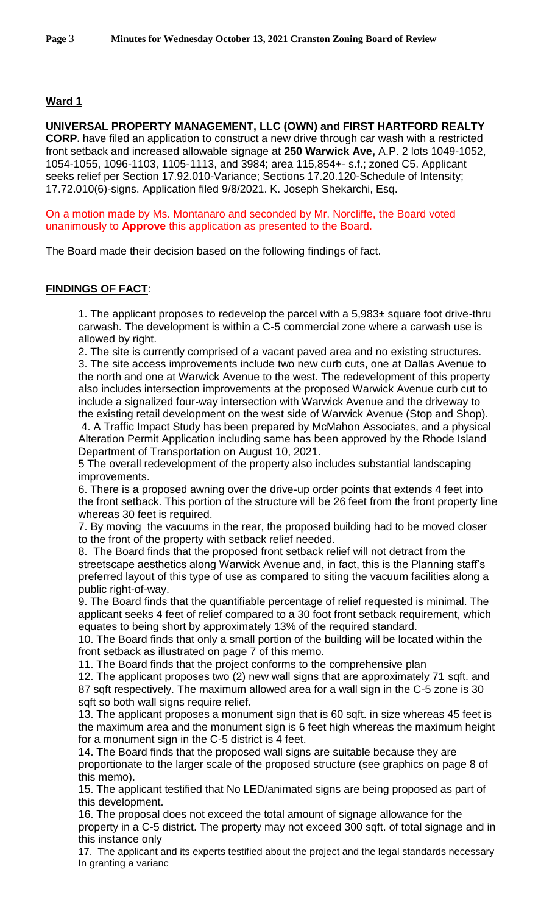# **Ward 1**

**UNIVERSAL PROPERTY MANAGEMENT, LLC (OWN) and FIRST HARTFORD REALTY CORP.** have filed an application to construct a new drive through car wash with a restricted front setback and increased allowable signage at **250 Warwick Ave,** A.P. 2 lots 1049-1052, 1054-1055, 1096-1103, 1105-1113, and 3984; area 115,854+- s.f.; zoned C5. Applicant seeks relief per Section 17.92.010-Variance; Sections 17.20.120-Schedule of Intensity; 17.72.010(6)-signs. Application filed 9/8/2021. K. Joseph Shekarchi, Esq.

On a motion made by Ms. Montanaro and seconded by Mr. Norcliffe, the Board voted unanimously to **Approve** this application as presented to the Board.

The Board made their decision based on the following findings of fact.

# **FINDINGS OF FACT**:

1. The applicant proposes to redevelop the parcel with a 5,983± square foot drive-thru carwash. The development is within a C-5 commercial zone where a carwash use is allowed by right.

2. The site is currently comprised of a vacant paved area and no existing structures.

3. The site access improvements include two new curb cuts, one at Dallas Avenue to the north and one at Warwick Avenue to the west. The redevelopment of this property also includes intersection improvements at the proposed Warwick Avenue curb cut to include a signalized four-way intersection with Warwick Avenue and the driveway to the existing retail development on the west side of Warwick Avenue (Stop and Shop).

4. A Traffic Impact Study has been prepared by McMahon Associates, and a physical Alteration Permit Application including same has been approved by the Rhode Island Department of Transportation on August 10, 2021.

5 The overall redevelopment of the property also includes substantial landscaping improvements.

6. There is a proposed awning over the drive-up order points that extends 4 feet into the front setback. This portion of the structure will be 26 feet from the front property line whereas 30 feet is required.

7. By moving the vacuums in the rear, the proposed building had to be moved closer to the front of the property with setback relief needed.

8. The Board finds that the proposed front setback relief will not detract from the streetscape aesthetics along Warwick Avenue and, in fact, this is the Planning staff's preferred layout of this type of use as compared to siting the vacuum facilities along a public right-of-way.

9. The Board finds that the quantifiable percentage of relief requested is minimal. The applicant seeks 4 feet of relief compared to a 30 foot front setback requirement, which equates to being short by approximately 13% of the required standard.

10. The Board finds that only a small portion of the building will be located within the front setback as illustrated on page 7 of this memo.

11. The Board finds that the project conforms to the comprehensive plan

12. The applicant proposes two (2) new wall signs that are approximately 71 sqft. and 87 sqft respectively. The maximum allowed area for a wall sign in the C-5 zone is 30 sqft so both wall signs require relief.

13. The applicant proposes a monument sign that is 60 sqft. in size whereas 45 feet is the maximum area and the monument sign is 6 feet high whereas the maximum height for a monument sign in the C-5 district is 4 feet.

14. The Board finds that the proposed wall signs are suitable because they are proportionate to the larger scale of the proposed structure (see graphics on page 8 of this memo).

15. The applicant testified that No LED/animated signs are being proposed as part of this development.

16. The proposal does not exceed the total amount of signage allowance for the property in a C-5 district. The property may not exceed 300 sqft. of total signage and in this instance only

17. The applicant and its experts testified about the project and the legal standards necessary In granting a varianc